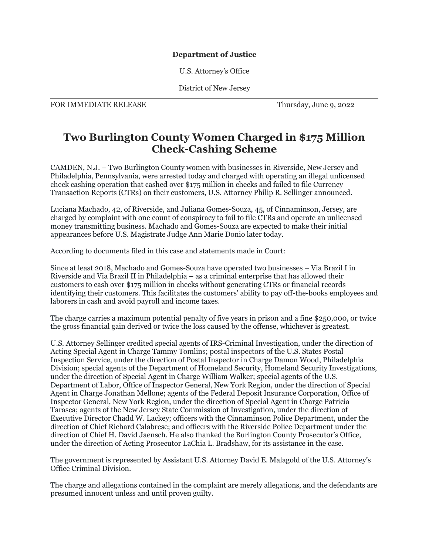## **Department of Justice**

U.S. Attorney's Office

District of New Jersey

FOR IMMEDIATE RELEASE Thursday, June 9, 2022

## **Two Burlington County Women Charged in \$175 Million Check-Cashing Scheme**

CAMDEN, N.J. – Two Burlington County women with businesses in Riverside, New Jersey and Philadelphia, Pennsylvania, were arrested today and charged with operating an illegal unlicensed check cashing operation that cashed over \$175 million in checks and failed to file Currency Transaction Reports (CTRs) on their customers, U.S. Attorney Philip R. Sellinger announced.

Luciana Machado, 42, of Riverside, and Juliana Gomes-Souza, 45, of Cinnaminson, Jersey, are charged by complaint with one count of conspiracy to fail to file CTRs and operate an unlicensed money transmitting business. Machado and Gomes-Souza are expected to make their initial appearances before U.S. Magistrate Judge Ann Marie Donio later today.

According to documents filed in this case and statements made in Court:

Since at least 2018, Machado and Gomes-Souza have operated two businesses – Via Brazil I in Riverside and Via Brazil II in Philadelphia – as a criminal enterprise that has allowed their customers to cash over \$175 million in checks without generating CTRs or financial records identifying their customers. This facilitates the customers' ability to pay off-the-books employees and laborers in cash and avoid payroll and income taxes.

The charge carries a maximum potential penalty of five years in prison and a fine \$250,000, or twice the gross financial gain derived or twice the loss caused by the offense, whichever is greatest.

U.S. Attorney Sellinger credited special agents of IRS-Criminal Investigation, under the direction of Acting Special Agent in Charge Tammy Tomlins; postal inspectors of the U.S. States Postal Inspection Service, under the direction of Postal Inspector in Charge Damon Wood, Philadelphia Division; special agents of the Department of Homeland Security, Homeland Security Investigations, under the direction of Special Agent in Charge William Walker; special agents of the U.S. Department of Labor, Office of Inspector General, New York Region, under the direction of Special Agent in Charge Jonathan Mellone; agents of the Federal Deposit Insurance Corporation, Office of Inspector General, New York Region, under the direction of Special Agent in Charge Patricia Tarasca; agents of the New Jersey State Commission of Investigation, under the direction of Executive Director Chadd W. Lackey; officers with the Cinnaminson Police Department, under the direction of Chief Richard Calabrese; and officers with the Riverside Police Department under the direction of Chief H. David Jaensch. He also thanked the Burlington County Prosecutor's Office, under the direction of Acting Prosecutor LaChia L. Bradshaw, for its assistance in the case.

The government is represented by Assistant U.S. Attorney David E. Malagold of the U.S. Attorney's Office Criminal Division.

The charge and allegations contained in the complaint are merely allegations, and the defendants are presumed innocent unless and until proven guilty.